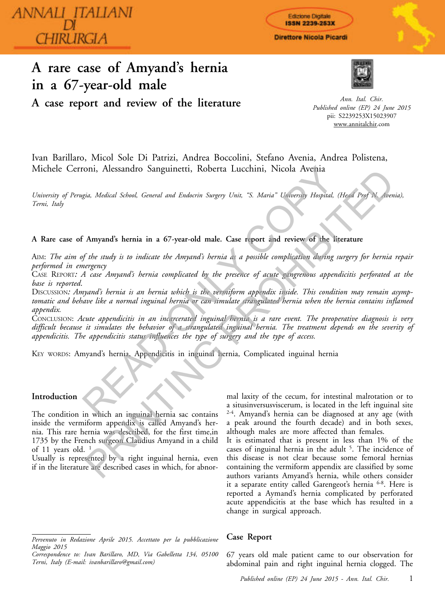ANNALI\_ITALIANI HIRLIRGIA

# **A rare case of Amyand's hernia in a 67-year-old male**



Edizione Digitale **ISSN 2239-253X** Direttore Nicola Picardi

**A case report and review of the literature**

*Ann. Ital. Chir. Published online (EP) 24 June 2015* pii: S2239253X15023907 www.annitalchir.com

Ivan Barillaro, Micol Sole Di Patrizi, Andrea Boccolini, Stefano Avenia, Andrea Polistena, Michele Cerroni, Alessandro Sanguinetti, Roberta Lucchini, Nicola Avenia

*University of Perugia, Medical School, General and Endocrin Surgery Unit, "S. Maria" University Hospital, (Head Prof N. Avenia), Terni, Italy*

## **A Rare case of Amyand's hernia in a 67-year-old male. Case report and review of the literature**

AIM: *The aim of the study is to indicate the Amyand's hernia as a possible complication during surgery for hernia repair performed in emergency*

CASE REPORT*: A case Amyand's hernia complicated by the presence of acute gangrenous appendicitis perforated at the base is reported*.

DISCUSSION: Amyand's hernia is an hernia which is the vermiform appendix inside. This condition may remain asymp*tomatic and behave like a normal inguinal hernia or can simulate strangulated hernia when the hernia contains inflamed appendix.*  For Messandro Sanguinetti, Roberta Lucchini, Nicola Avenia<br>
gia, Medical School, General and Endocrin Surgery Unit, "S. Maria" University Hospital, (H<br>
F. Amyand's hernia in a 67-year-old male. Case report and review of th Sin, Medical School, General and Endocrin Surgery Unit, "S. Maria" University Hoppital, (Heal Pry N. See<br>
Amyand's hermia in a 67-year-old male. Case report and review of the literature<br>  $\epsilon$  Amyand's hermia in a 67-year-

CONCLUSION: *Acute appendicitis in an incarcerated inguinal hernia is a rare event. The preoperative diagnosis is very difficult because it simulates the behavior of a strangulated inguinal hernia. The treatment depends on the severity of appendicitis. The appendicitis status influences the type of surgery and the type of access.*

KEY WORDS: Amyand's hernia, Appendicitis in inguinal hernia, Complicated inguinal hernia

## **Introduction**

The condition in which an inguinal hernia sac contains inside the vermiform appendix is called Amyand's hernia. This rare hernia was described, for the first time,in 1735 by the French surgeon Claudius Amyand in a child of 11 years old.  $1$ 

Usually is represented by a right inguinal hernia, even if in the literature are described cases in which, for abnor-

mal laxity of the cecum, for intestinal malrotation or to a situsinversusviscerum, is located in the left inguinal site 2-4. Amyand's hernia can be diagnosed at any age (with a peak around the fourth decade) and in both sexes, although males are more affected than females.

It is estimated that is present in less than 1% of the cases of inguinal hernia in the adult <sup>5</sup>. The incidence of this disease is not clear because some femoral hernias containing the vermiform appendix are classified by some authors variants Amyand's hernia, while others consider it a separate entity called Garengeot's hernia 6-8. Here is reported a Aymand's hernia complicated by perforated acute appendicitis at the base which has resulted in a change in surgical approach.

## **Case Report**

67 years old male patient came to our observation for abdominal pain and right inguinal hernia clogged. The

*Pervenuto in Redazione Aprile 2015. Accettato per la pubblicazione Maggio 2015*

*Correspondence to: Ivan Barillaro, MD, Via Gabelletta 134, 05100 Terni, Italy (E-mail: ivanbarillaro@gmail.com)*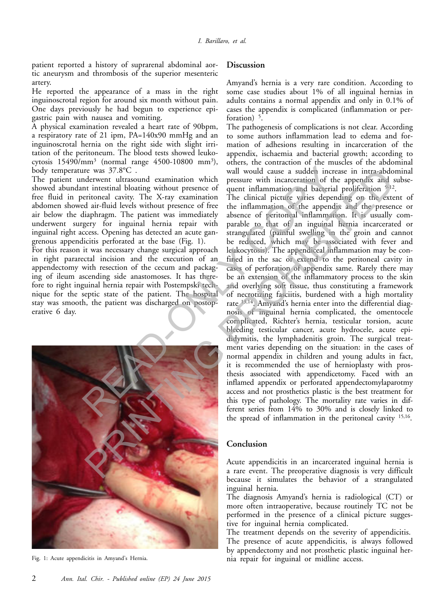patient reported a history of suprarenal abdominal aortic aneurysm and thrombosis of the superior mesenteric artery.

He reported the appearance of a mass in the right inguinoscrotal region for around six month without pain. One days previously he had begun to experience epigastric pain with nausea and vomiting.

A physical examination revealed a heart rate of 90bpm, a respiratory rate of 21 ipm, PA=140x90 mmHg and an inguinoscrotal hernia on the right side with slight irritation of the peritoneum. The blood tests showed leukocytosis 15490/mm<sup>3</sup> (normal range 4500-10800 mm<sup>3</sup>), body temperature was 37.8°C .

The patient underwent ultrasound examination which showed abundant intestinal bloating without presence of free fluid in peritoneal cavity. The X-ray examination abdomen showed air-fluid levels without presence of free air below the diaphragm. The patient was immediately underwent surgery for inguinal hernia repair with inguinal right access. Opening has detected an acute gangrenous appendicitis perforated at the base (Fig. 1).

For this reason it was necessary change surgical approach in right pararectal incision and the execution of an appendectomy with resection of the cecum and packaging of ileum ascending side anastomoses. It has therefore to right inguinal hernia repair with Postempski technique for the septic state of the patient. The hospital stay was smooth, the patient was discharged on postoperative 6 day.



Fig. 1: Acute appendicitis in Amyand's Hernia.

### **Discussion**

Amyand's hernia is a very rare condition. According to some case studies about 1% of all inguinal hernias in adults contains a normal appendix and only in 0.1% of cases the appendix is complicated (inflammation or perforation)  $\frac{5}{5}$ .

The pathogenesis of complications is not clear. According to some authors inflammation lead to edema and formation of adhesions resulting in incarceration of the appendix, ischaemia and bacterial growth; according to others, the contraction of the muscles of the abdominal wall would cause a sudden increase in intra-abdominal pressure with incarceration of the appendix and subsequent inflammation and bacterial proliferation <sup>9-12</sup>.

The clinical picture varies depending on the extent of the inflammation of the appendix and the presence or absence of peritoneal inflammation. It is usually comparable to that of an inguinal hernia incarcerated or strangulated (painful swelling in the groin and cannot be reduced, which may be associated with fever and leukocytosis). The appendiceal inflammation may be confined in the sac or extend to the peritoneal cavity in cases of perforation of appendix same. Rarely there may be an extension of the inflammatory process to the skin and overlying soft tissue, thus constituting a framework of necrotizing fasciitis, burdened with a high mortality rate 13,14. Amyand's hernia enter into the differential diagnosis of inguinal hernia complicated, the omentocele complicated, Richter's hernia, testicular torsion, acute bleeding testicular cancer, acute hydrocele, acute epididymitis, the lymphadenitis groin. The surgical treatment varies depending on the situation: in the cases of normal appendix in children and young adults in fact, it is recommended the use of hernioplasty with prosthesis associated with appendicetomy. Faced with an inflamed appendix or perforated appendectomylaparotmy access and not prosthetics plastic is the best treatment for this type of pathology. The mortality rate varies in different series from 14% to 30% and is closely linked to the spread of inflammation in the peritoneal cavity 15,16 . The was 37.8°C . wall would cause a sudden increasion of the interaction of the interaction of the infinite orientional cavity. The X-ray examination which increasing the distribution of degree the infinite oriention of th re was 3/18°C.<br>
The value of the spendix and the metallited in the interaction of the appendix and it interaction of the appendix and iteration spendix and iterational cavity. The X-ray examination of the dinical picture

### **Conclusion**

Acute appendicitis in an incarcerated inguinal hernia is a rare event. The preoperative diagnosis is very difficult because it simulates the behavior of a strangulated inguinal hernia.

The diagnosis Amyand's hernia is radiological (CT) or more often intraoperative, because routinely TC not be performed in the presence of a clinical picture suggestive for inguinal hernia complicated.

The treatment depends on the severity of appendicitis. The presence of acute appendicitis, is always followed by appendectomy and not prosthetic plastic inguinal hernia repair for inguinal or midline access.